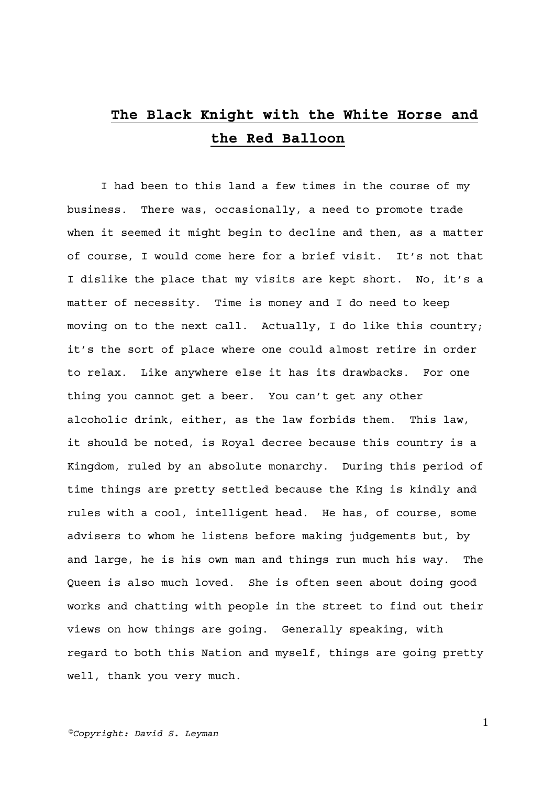## **The Black Knight with the White Horse and the Red Balloon**

I had been to this land a few times in the course of my business. There was, occasionally, a need to promote trade when it seemed it might begin to decline and then, as a matter of course, I would come here for a brief visit. It's not that I dislike the place that my visits are kept short. No, it's a matter of necessity. Time is money and I do need to keep moving on to the next call. Actually, I do like this country; it's the sort of place where one could almost retire in order to relax. Like anywhere else it has its drawbacks. For one thing you cannot get a beer. You can't get any other alcoholic drink, either, as the law forbids them. This law, it should be noted, is Royal decree because this country is a Kingdom, ruled by an absolute monarchy. During this period of time things are pretty settled because the King is kindly and rules with a cool, intelligent head. He has, of course, some advisers to whom he listens before making judgements but, by and large, he is his own man and things run much his way. The Queen is also much loved. She is often seen about doing good works and chatting with people in the street to find out their views on how things are going. Generally speaking, with regard to both this Nation and myself, things are going pretty well, thank you very much.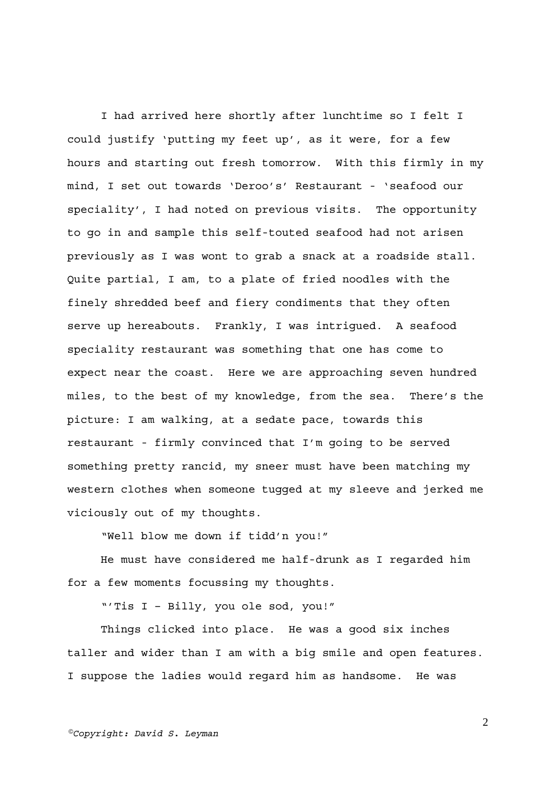I had arrived here shortly after lunchtime so I felt I could justify 'putting my feet up', as it were, for a few hours and starting out fresh tomorrow. With this firmly in my mind, I set out towards 'Deroo's' Restaurant - 'seafood our speciality', I had noted on previous visits. The opportunity to go in and sample this self-touted seafood had not arisen previously as I was wont to grab a snack at a roadside stall. Quite partial, I am, to a plate of fried noodles with the finely shredded beef and fiery condiments that they often serve up hereabouts. Frankly, I was intrigued. A seafood speciality restaurant was something that one has come to expect near the coast. Here we are approaching seven hundred miles, to the best of my knowledge, from the sea. There's the picture: I am walking, at a sedate pace, towards this restaurant - firmly convinced that I'm going to be served something pretty rancid, my sneer must have been matching my western clothes when someone tugged at my sleeve and jerked me viciously out of my thoughts.

"Well blow me down if tidd'n you!"

He must have considered me half-drunk as I regarded him for a few moments focussing my thoughts.

"'Tis I – Billy, you ole sod, you!"

Things clicked into place. He was a good six inches taller and wider than I am with a big smile and open features. I suppose the ladies would regard him as handsome. He was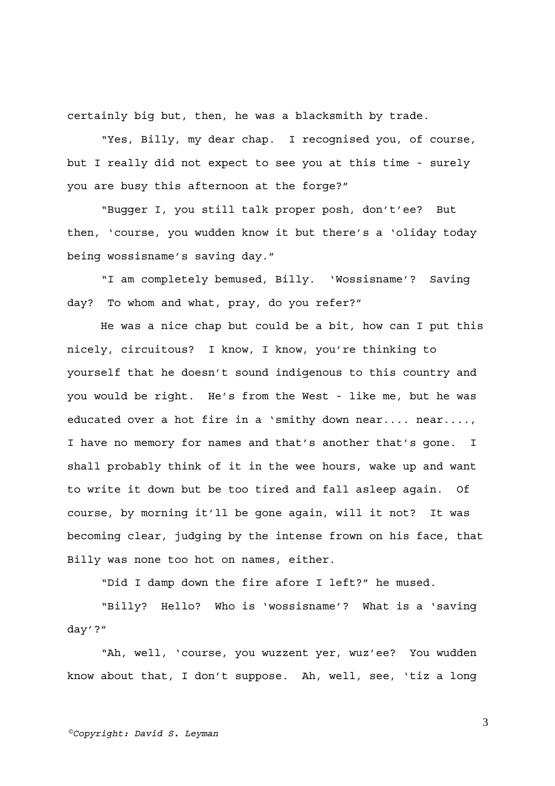certainly big but, then, he was a blacksmith by trade.

"Yes, Billy, my dear chap. I recognised you, of course, but I really did not expect to see you at this time - surely you are busy this afternoon at the forge?"

"Bugger I, you still talk proper posh, don't'ee? But then, 'course, you wudden know it but there's a 'oliday today being wossisname's saving day."

"I am completely bemused, Billy. 'Wossisname'? Saving day? To whom and what, pray, do you refer?"

He was a nice chap but could be a bit, how can I put this nicely, circuitous? I know, I know, you're thinking to yourself that he doesn't sound indigenous to this country and you would be right. He's from the West - like me, but he was educated over a hot fire in a 'smithy down near.... near...., I have no memory for names and that's another that's gone. I shall probably think of it in the wee hours, wake up and want to write it down but be too tired and fall asleep again. Of course, by morning it'll be gone again, will it not? It was becoming clear, judging by the intense frown on his face, that Billy was none too hot on names, either.

"Did I damp down the fire afore I left?" he mused.

"Billy? Hello? Who is 'wossisname'? What is a 'saving day'?"

"Ah, well, 'course, you wuzzent yer, wuz'ee? You wudden know about that, I don't suppose. Ah, well, see, 'tiz a long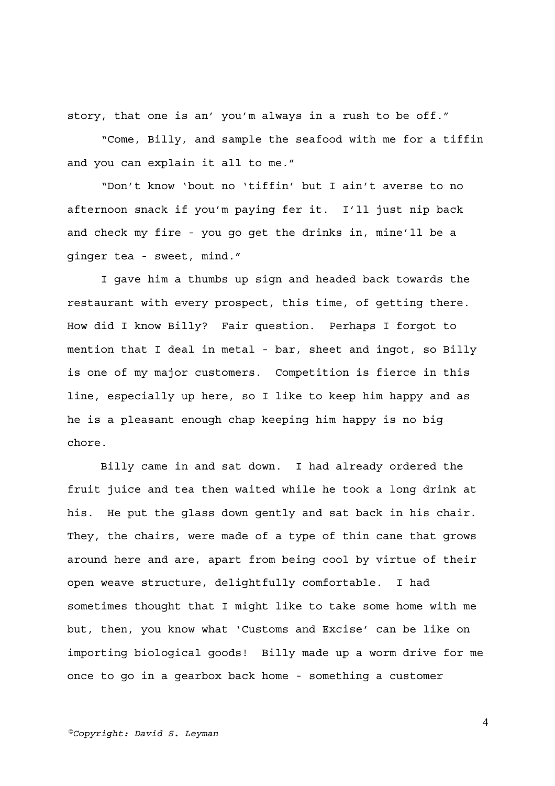story, that one is an' you'm always in a rush to be off."

"Come, Billy, and sample the seafood with me for a tiffin and you can explain it all to me."

"Don't know 'bout no 'tiffin' but I ain't averse to no afternoon snack if you'm paying fer it. I'll just nip back and check my fire - you go get the drinks in, mine'll be a ginger tea - sweet, mind."

I gave him a thumbs up sign and headed back towards the restaurant with every prospect, this time, of getting there. How did I know Billy? Fair question. Perhaps I forgot to mention that I deal in metal - bar, sheet and ingot, so Billy is one of my major customers. Competition is fierce in this line, especially up here, so I like to keep him happy and as he is a pleasant enough chap keeping him happy is no big chore.

Billy came in and sat down. I had already ordered the fruit juice and tea then waited while he took a long drink at his. He put the glass down gently and sat back in his chair. They, the chairs, were made of a type of thin cane that grows around here and are, apart from being cool by virtue of their open weave structure, delightfully comfortable. I had sometimes thought that I might like to take some home with me but, then, you know what 'Customs and Excise' can be like on importing biological goods! Billy made up a worm drive for me once to go in a gearbox back home - something a customer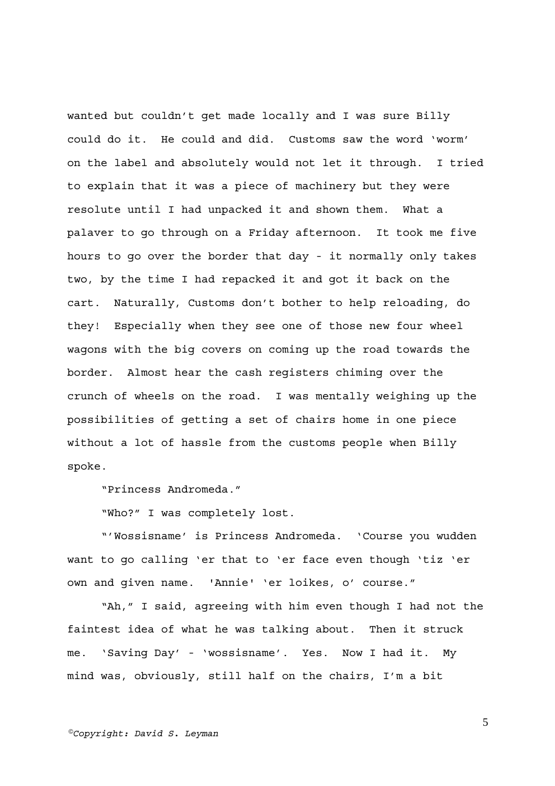wanted but couldn't get made locally and I was sure Billy could do it. He could and did. Customs saw the word 'worm' on the label and absolutely would not let it through. I tried to explain that it was a piece of machinery but they were resolute until I had unpacked it and shown them. What a palaver to go through on a Friday afternoon. It took me five hours to go over the border that day - it normally only takes two, by the time I had repacked it and got it back on the cart. Naturally, Customs don't bother to help reloading, do they! Especially when they see one of those new four wheel wagons with the big covers on coming up the road towards the border. Almost hear the cash registers chiming over the crunch of wheels on the road. I was mentally weighing up the possibilities of getting a set of chairs home in one piece without a lot of hassle from the customs people when Billy spoke.

"Princess Andromeda."

"Who?" I was completely lost.

"'Wossisname' is Princess Andromeda. 'Course you wudden want to go calling 'er that to 'er face even though 'tiz 'er own and given name. 'Annie' 'er loikes, o' course."

"Ah," I said, agreeing with him even though I had not the faintest idea of what he was talking about. Then it struck me. 'Saving Day' - 'wossisname'. Yes. Now I had it. My mind was, obviously, still half on the chairs, I'm a bit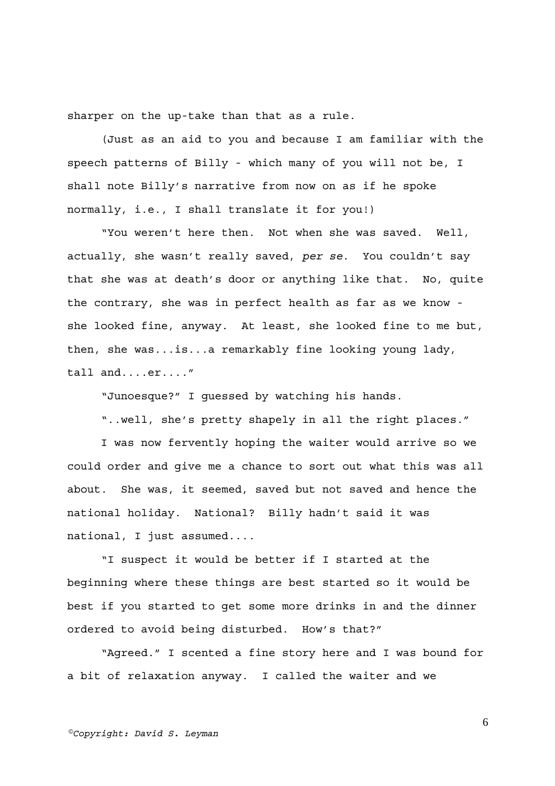sharper on the up-take than that as a rule.

(Just as an aid to you and because I am familiar with the speech patterns of Billy - which many of you will not be, I shall note Billy's narrative from now on as if he spoke normally, i.e., I shall translate it for you!)

"You weren't here then. Not when she was saved. Well, actually, she wasn't really saved, *per se*. You couldn't say that she was at death's door or anything like that. No, quite the contrary, she was in perfect health as far as we know she looked fine, anyway. At least, she looked fine to me but, then, she was...is...a remarkably fine looking young lady, tall and....er...."

"Junoesque?" I guessed by watching his hands.

"..well, she's pretty shapely in all the right places."

I was now fervently hoping the waiter would arrive so we could order and give me a chance to sort out what this was all about. She was, it seemed, saved but not saved and hence the national holiday. National? Billy hadn't said it was national, I just assumed....

"I suspect it would be better if I started at the beginning where these things are best started so it would be best if you started to get some more drinks in and the dinner ordered to avoid being disturbed. How's that?"

"Agreed." I scented a fine story here and I was bound for a bit of relaxation anyway. I called the waiter and we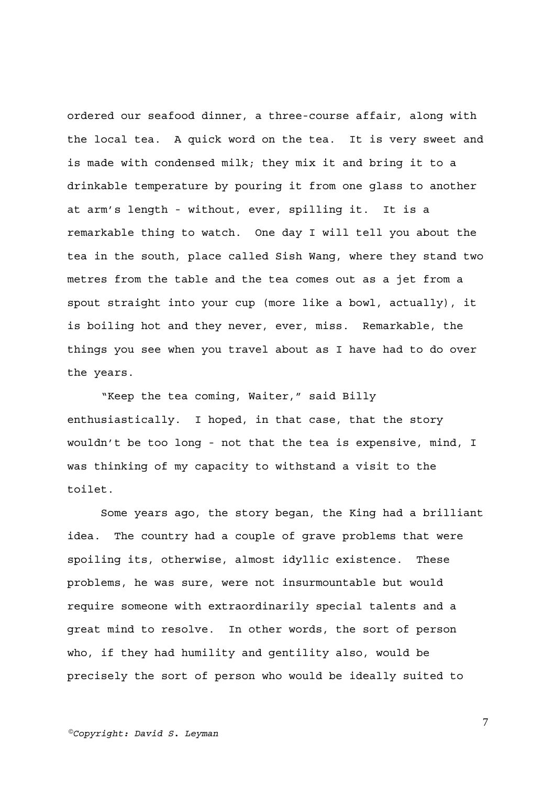ordered our seafood dinner, a three-course affair, along with the local tea. A quick word on the tea. It is very sweet and is made with condensed milk; they mix it and bring it to a drinkable temperature by pouring it from one glass to another at arm's length - without, ever, spilling it. It is a remarkable thing to watch. One day I will tell you about the tea in the south, place called Sish Wang, where they stand two metres from the table and the tea comes out as a jet from a spout straight into your cup (more like a bowl, actually), it is boiling hot and they never, ever, miss. Remarkable, the things you see when you travel about as I have had to do over the years.

"Keep the tea coming, Waiter," said Billy enthusiastically. I hoped, in that case, that the story wouldn't be too long - not that the tea is expensive, mind, I was thinking of my capacity to withstand a visit to the toilet.

Some years ago, the story began, the King had a brilliant idea. The country had a couple of grave problems that were spoiling its, otherwise, almost idyllic existence. These problems, he was sure, were not insurmountable but would require someone with extraordinarily special talents and a great mind to resolve. In other words, the sort of person who, if they had humility and gentility also, would be precisely the sort of person who would be ideally suited to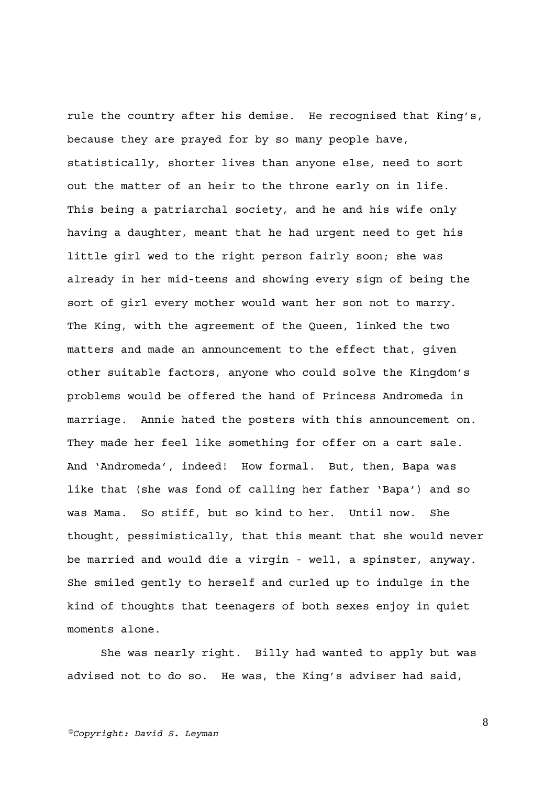rule the country after his demise. He recognised that King's, because they are prayed for by so many people have, statistically, shorter lives than anyone else, need to sort out the matter of an heir to the throne early on in life. This being a patriarchal society, and he and his wife only having a daughter, meant that he had urgent need to get his little girl wed to the right person fairly soon; she was already in her mid-teens and showing every sign of being the sort of girl every mother would want her son not to marry. The King, with the agreement of the Queen, linked the two matters and made an announcement to the effect that, given other suitable factors, anyone who could solve the Kingdom's problems would be offered the hand of Princess Andromeda in marriage. Annie hated the posters with this announcement on. They made her feel like something for offer on a cart sale. And 'Andromeda', indeed! How formal. But, then, Bapa was like that (she was fond of calling her father 'Bapa') and so was Mama. So stiff, but so kind to her. Until now. She thought, pessimistically, that this meant that she would never be married and would die a virgin - well, a spinster, anyway. She smiled gently to herself and curled up to indulge in the kind of thoughts that teenagers of both sexes enjoy in quiet moments alone.

She was nearly right. Billy had wanted to apply but was advised not to do so. He was, the King's adviser had said,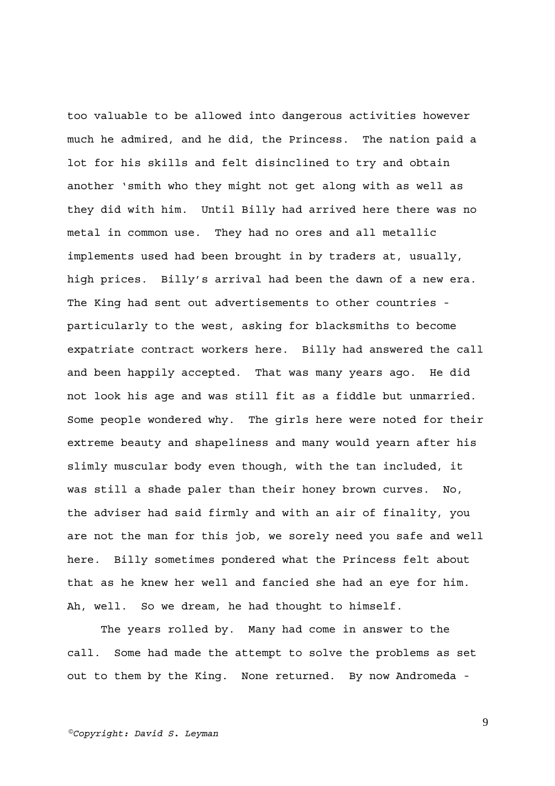too valuable to be allowed into dangerous activities however much he admired, and he did, the Princess. The nation paid a lot for his skills and felt disinclined to try and obtain another 'smith who they might not get along with as well as they did with him. Until Billy had arrived here there was no metal in common use. They had no ores and all metallic implements used had been brought in by traders at, usually, high prices. Billy's arrival had been the dawn of a new era. The King had sent out advertisements to other countries particularly to the west, asking for blacksmiths to become expatriate contract workers here. Billy had answered the call and been happily accepted. That was many years ago. He did not look his age and was still fit as a fiddle but unmarried. Some people wondered why. The girls here were noted for their extreme beauty and shapeliness and many would yearn after his slimly muscular body even though, with the tan included, it was still a shade paler than their honey brown curves. No, the adviser had said firmly and with an air of finality, you are not the man for this job, we sorely need you safe and well here. Billy sometimes pondered what the Princess felt about that as he knew her well and fancied she had an eye for him. Ah, well. So we dream, he had thought to himself.

The years rolled by. Many had come in answer to the call. Some had made the attempt to solve the problems as set out to them by the King. None returned. By now Andromeda -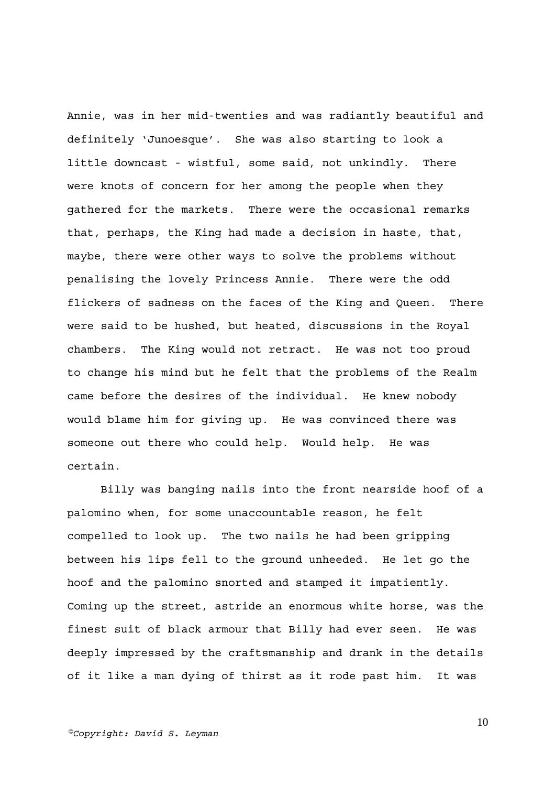Annie, was in her mid-twenties and was radiantly beautiful and definitely 'Junoesque'. She was also starting to look a little downcast - wistful, some said, not unkindly. There were knots of concern for her among the people when they gathered for the markets. There were the occasional remarks that, perhaps, the King had made a decision in haste, that, maybe, there were other ways to solve the problems without penalising the lovely Princess Annie. There were the odd flickers of sadness on the faces of the King and Queen. There were said to be hushed, but heated, discussions in the Royal chambers. The King would not retract. He was not too proud to change his mind but he felt that the problems of the Realm came before the desires of the individual. He knew nobody would blame him for giving up. He was convinced there was someone out there who could help. Would help. He was certain.

Billy was banging nails into the front nearside hoof of a palomino when, for some unaccountable reason, he felt compelled to look up. The two nails he had been gripping between his lips fell to the ground unheeded. He let go the hoof and the palomino snorted and stamped it impatiently. Coming up the street, astride an enormous white horse, was the finest suit of black armour that Billy had ever seen. He was deeply impressed by the craftsmanship and drank in the details of it like a man dying of thirst as it rode past him. It was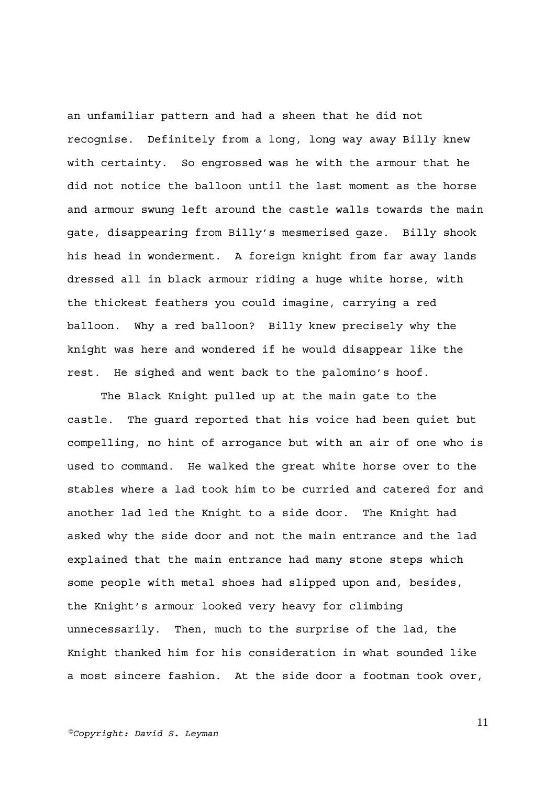an unfamiliar pattern and had a sheen that he did not recognise. Definitely from a long, long way away Billy knew with certainty. So engrossed was he with the armour that he did not notice the balloon until the last moment as the horse and armour swung left around the castle walls towards the main gate, disappearing from Billy's mesmerised gaze. Billy shook his head in wonderment. A foreign knight from far away lands dressed all in black armour riding a huge white horse, with the thickest feathers you could imagine, carrying a red balloon. Why a red balloon? Billy knew precisely why the knight was here and wondered if he would disappear like the rest. He sighed and went back to the palomino's hoof.

The Black Knight pulled up at the main gate to the castle. The guard reported that his voice had been quiet but compelling, no hint of arrogance but with an air of one who is used to command. He walked the great white horse over to the stables where a lad took him to be curried and catered for and another lad led the Knight to a side door. The Knight had asked why the side door and not the main entrance and the lad explained that the main entrance had many stone steps which some people with metal shoes had slipped upon and, besides, the Knight's armour looked very heavy for climbing unnecessarily. Then, much to the surprise of the lad, the Knight thanked him for his consideration in what sounded like a most sincere fashion. At the side door a footman took over,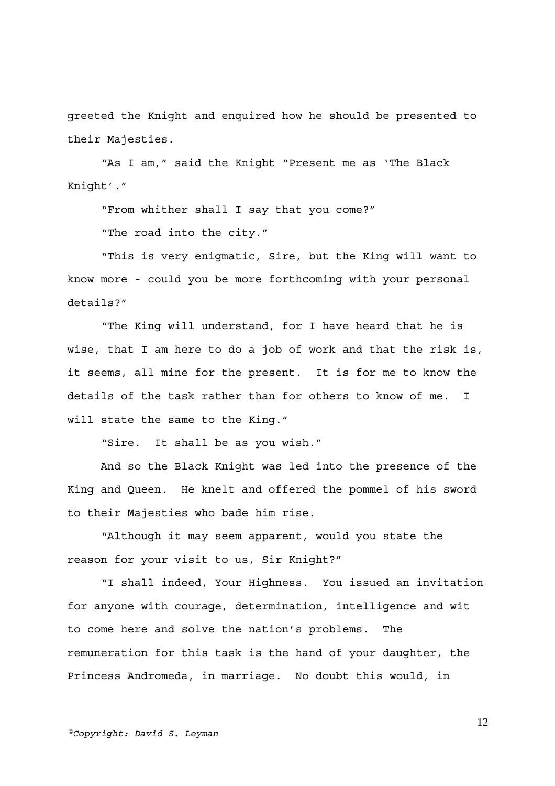greeted the Knight and enquired how he should be presented to their Majesties.

"As I am," said the Knight "Present me as 'The Black Knight'."

"From whither shall I say that you come?"

"The road into the city."

"This is very enigmatic, Sire, but the King will want to know more - could you be more forthcoming with your personal details?"

"The King will understand, for I have heard that he is wise, that I am here to do a job of work and that the risk is, it seems, all mine for the present. It is for me to know the details of the task rather than for others to know of me. I will state the same to the King."

"Sire. It shall be as you wish."

And so the Black Knight was led into the presence of the King and Queen. He knelt and offered the pommel of his sword to their Majesties who bade him rise.

"Although it may seem apparent, would you state the reason for your visit to us, Sir Knight?"

"I shall indeed, Your Highness. You issued an invitation for anyone with courage, determination, intelligence and wit to come here and solve the nation's problems. The remuneration for this task is the hand of your daughter, the Princess Andromeda, in marriage. No doubt this would, in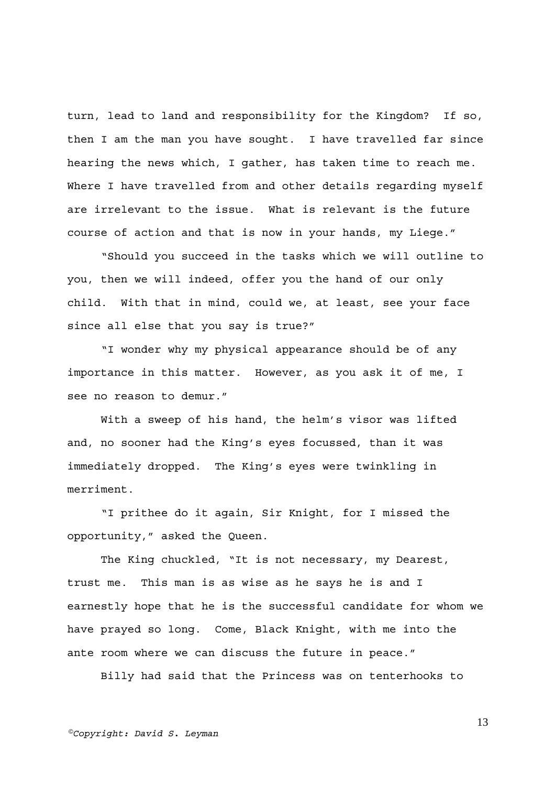turn, lead to land and responsibility for the Kingdom? If so, then I am the man you have sought. I have travelled far since hearing the news which, I gather, has taken time to reach me. Where I have travelled from and other details regarding myself are irrelevant to the issue. What is relevant is the future course of action and that is now in your hands, my Liege."

"Should you succeed in the tasks which we will outline to you, then we will indeed, offer you the hand of our only child. With that in mind, could we, at least, see your face since all else that you say is true?"

"I wonder why my physical appearance should be of any importance in this matter. However, as you ask it of me, I see no reason to demur."

With a sweep of his hand, the helm's visor was lifted and, no sooner had the King's eyes focussed, than it was immediately dropped. The King's eyes were twinkling in merriment.

"I prithee do it again, Sir Knight, for I missed the opportunity," asked the Queen.

The King chuckled, "It is not necessary, my Dearest, trust me. This man is as wise as he says he is and I earnestly hope that he is the successful candidate for whom we have prayed so long. Come, Black Knight, with me into the ante room where we can discuss the future in peace."

Billy had said that the Princess was on tenterhooks to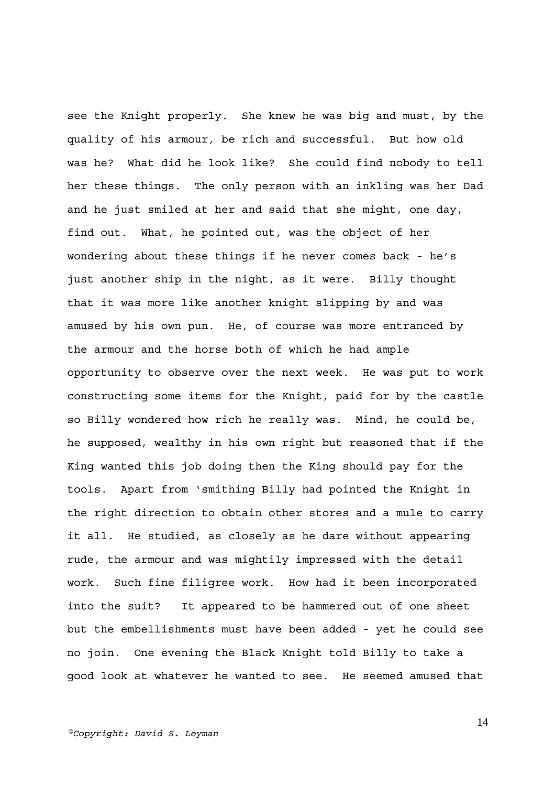see the Knight properly. She knew he was big and must, by the quality of his armour, be rich and successful. But how old was he? What did he look like? She could find nobody to tell her these things. The only person with an inkling was her Dad and he just smiled at her and said that she might, one day, find out. What, he pointed out, was the object of her wondering about these things if he never comes back - he's just another ship in the night, as it were. Billy thought that it was more like another knight slipping by and was amused by his own pun. He, of course was more entranced by the armour and the horse both of which he had ample opportunity to observe over the next week. He was put to work constructing some items for the Knight, paid for by the castle so Billy wondered how rich he really was. Mind, he could be, he supposed, wealthy in his own right but reasoned that if the King wanted this job doing then the King should pay for the tools. Apart from 'smithing Billy had pointed the Knight in the right direction to obtain other stores and a mule to carry it all. He studied, as closely as he dare without appearing rude, the armour and was mightily impressed with the detail work. Such fine filigree work. How had it been incorporated into the suit? It appeared to be hammered out of one sheet but the embellishments must have been added - yet he could see no join. One evening the Black Knight told Billy to take a good look at whatever he wanted to see. He seemed amused that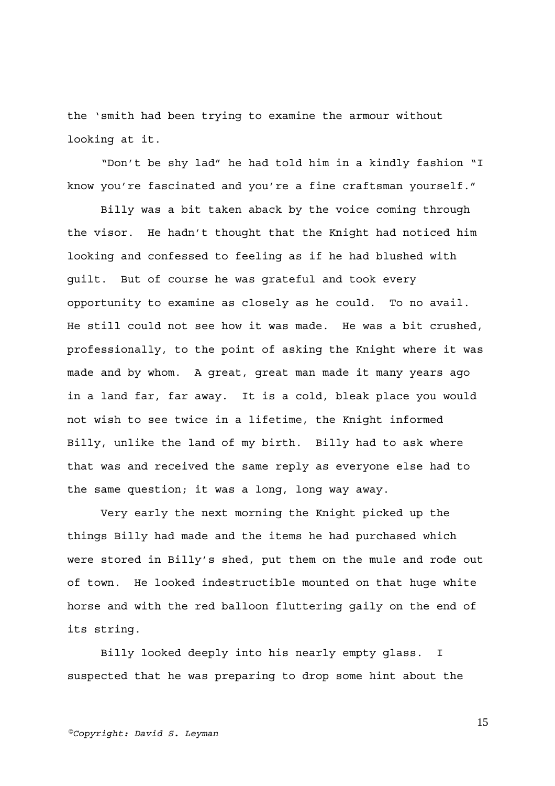the 'smith had been trying to examine the armour without looking at it.

"Don't be shy lad" he had told him in a kindly fashion "I know you're fascinated and you're a fine craftsman yourself."

Billy was a bit taken aback by the voice coming through the visor. He hadn't thought that the Knight had noticed him looking and confessed to feeling as if he had blushed with guilt. But of course he was grateful and took every opportunity to examine as closely as he could. To no avail. He still could not see how it was made. He was a bit crushed, professionally, to the point of asking the Knight where it was made and by whom. A great, great man made it many years ago in a land far, far away. It is a cold, bleak place you would not wish to see twice in a lifetime, the Knight informed Billy, unlike the land of my birth. Billy had to ask where that was and received the same reply as everyone else had to the same question; it was a long, long way away.

Very early the next morning the Knight picked up the things Billy had made and the items he had purchased which were stored in Billy's shed, put them on the mule and rode out of town. He looked indestructible mounted on that huge white horse and with the red balloon fluttering gaily on the end of its string.

Billy looked deeply into his nearly empty glass. I suspected that he was preparing to drop some hint about the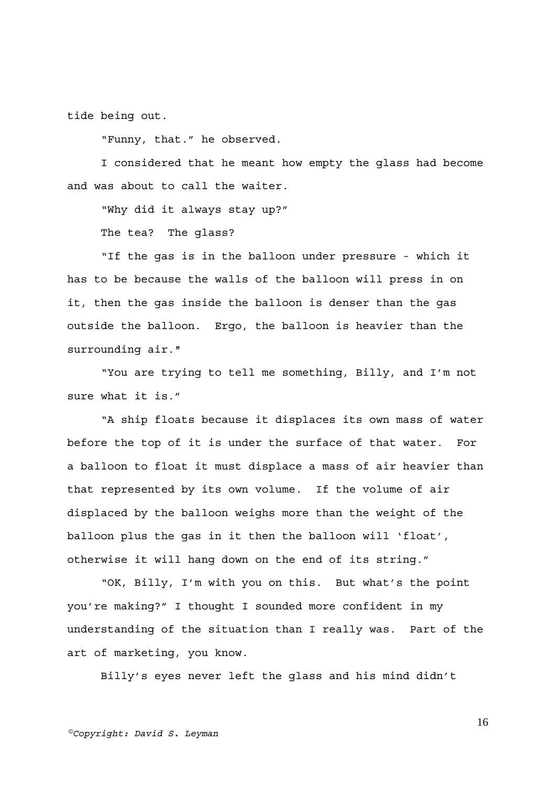tide being out.

"Funny, that." he observed.

I considered that he meant how empty the glass had become and was about to call the waiter.

"Why did it always stay up?"

The tea? The glass?

"If the gas is in the balloon under pressure - which it has to be because the walls of the balloon will press in on it, then the gas inside the balloon is denser than the gas outside the balloon. Ergo, the balloon is heavier than the surrounding air."

"You are trying to tell me something, Billy, and I'm not sure what it is."

"A ship floats because it displaces its own mass of water before the top of it is under the surface of that water. For a balloon to float it must displace a mass of air heavier than that represented by its own volume. If the volume of air displaced by the balloon weighs more than the weight of the balloon plus the gas in it then the balloon will 'float', otherwise it will hang down on the end of its string."

"OK, Billy, I'm with you on this. But what's the point you're making?" I thought I sounded more confident in my understanding of the situation than I really was. Part of the art of marketing, you know.

Billy's eyes never left the glass and his mind didn't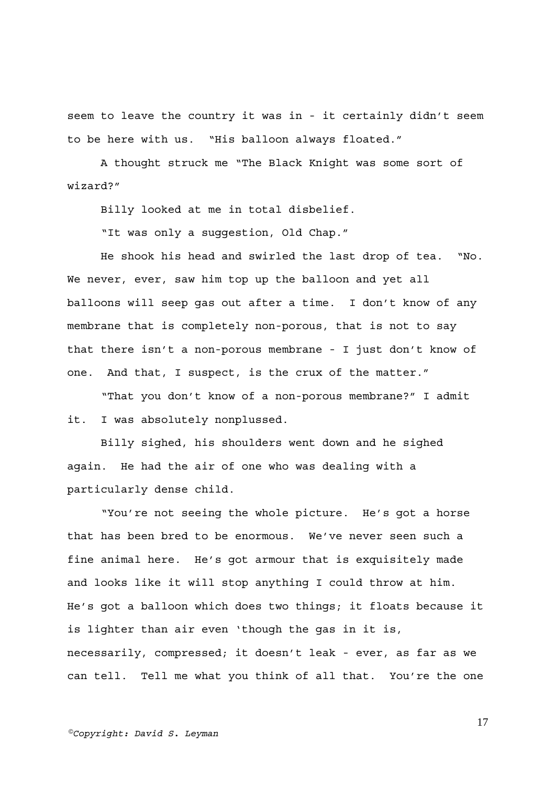seem to leave the country it was in - it certainly didn't seem to be here with us. "His balloon always floated."

A thought struck me "The Black Knight was some sort of wizard?"

Billy looked at me in total disbelief.

"It was only a suggestion, Old Chap."

He shook his head and swirled the last drop of tea. "No. We never, ever, saw him top up the balloon and yet all balloons will seep gas out after a time. I don't know of any membrane that is completely non-porous, that is not to say that there isn't a non-porous membrane - I just don't know of one. And that, I suspect, is the crux of the matter."

"That you don't know of a non-porous membrane?" I admit it. I was absolutely nonplussed.

Billy sighed, his shoulders went down and he sighed again. He had the air of one who was dealing with a particularly dense child.

"You're not seeing the whole picture. He's got a horse that has been bred to be enormous. We've never seen such a fine animal here. He's got armour that is exquisitely made and looks like it will stop anything I could throw at him. He's got a balloon which does two things; it floats because it is lighter than air even 'though the gas in it is, necessarily, compressed; it doesn't leak - ever, as far as we can tell. Tell me what you think of all that. You're the one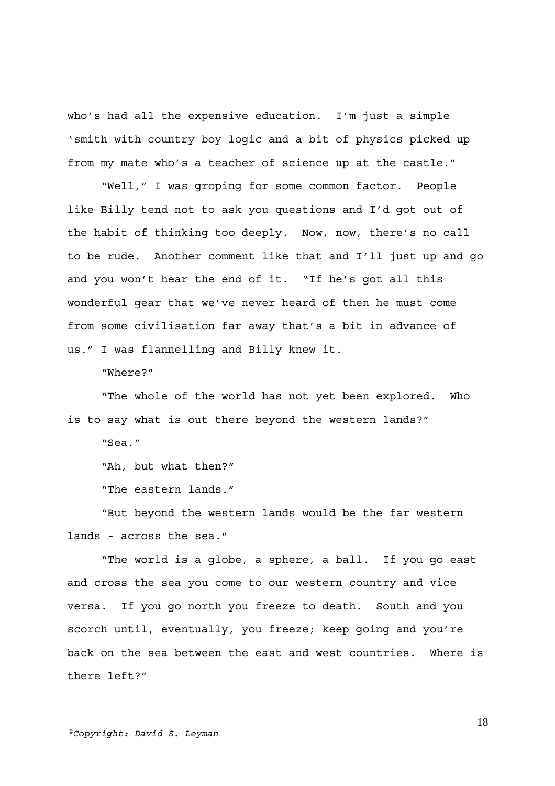who's had all the expensive education. I'm just a simple 'smith with country boy logic and a bit of physics picked up from my mate who's a teacher of science up at the castle."

"Well," I was groping for some common factor. People like Billy tend not to ask you questions and I'd got out of the habit of thinking too deeply. Now, now, there's no call to be rude. Another comment like that and I'll just up and go and you won't hear the end of it. "If he's got all this wonderful gear that we've never heard of then he must come from some civilisation far away that's a bit in advance of us." I was flannelling and Billy knew it.

"Where?"

"The whole of the world has not yet been explored. Who is to say what is out there beyond the western lands?"

"Sea."

"Ah, but what then?"

"The eastern lands."

"But beyond the western lands would be the far western lands - across the sea."

"The world is a globe, a sphere, a ball. If you go east and cross the sea you come to our western country and vice versa. If you go north you freeze to death. South and you scorch until, eventually, you freeze; keep going and you're back on the sea between the east and west countries. Where is there left?"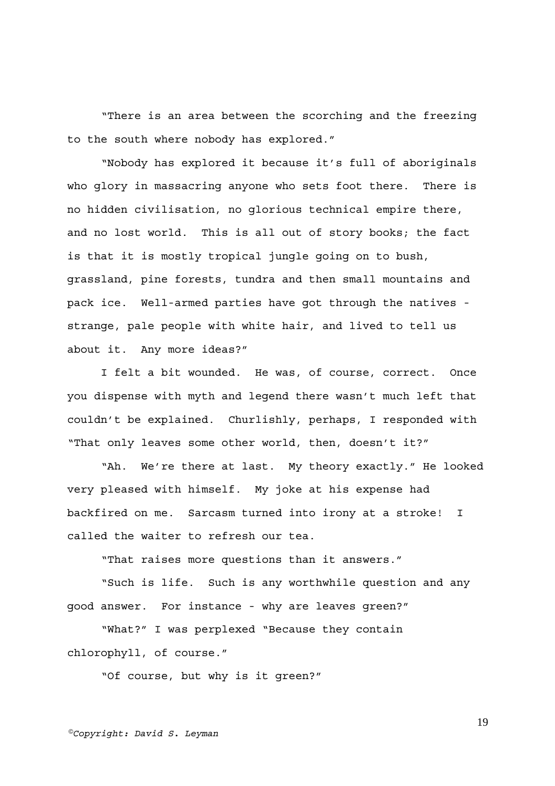"There is an area between the scorching and the freezing to the south where nobody has explored."

"Nobody has explored it because it's full of aboriginals who glory in massacring anyone who sets foot there. There is no hidden civilisation, no glorious technical empire there, and no lost world. This is all out of story books; the fact is that it is mostly tropical jungle going on to bush, grassland, pine forests, tundra and then small mountains and pack ice. Well-armed parties have got through the natives strange, pale people with white hair, and lived to tell us about it. Any more ideas?"

I felt a bit wounded. He was, of course, correct. Once you dispense with myth and legend there wasn't much left that couldn't be explained. Churlishly, perhaps, I responded with "That only leaves some other world, then, doesn't it?"

"Ah. We're there at last. My theory exactly." He looked very pleased with himself. My joke at his expense had backfired on me. Sarcasm turned into irony at a stroke! I called the waiter to refresh our tea.

"That raises more questions than it answers."

"Such is life. Such is any worthwhile question and any good answer. For instance - why are leaves green?"

"What?" I was perplexed "Because they contain chlorophyll, of course."

"Of course, but why is it green?"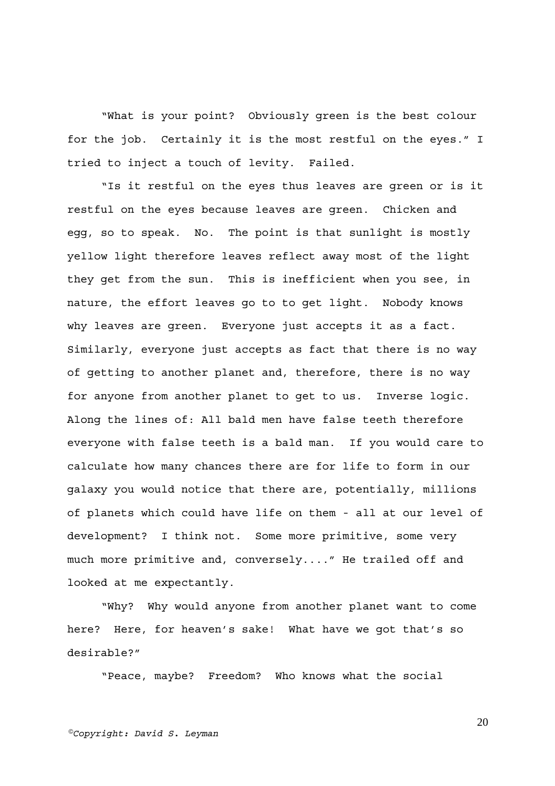"What is your point? Obviously green is the best colour for the job. Certainly it is the most restful on the eyes." I tried to inject a touch of levity. Failed.

"Is it restful on the eyes thus leaves are green or is it restful on the eyes because leaves are green. Chicken and egg, so to speak. No. The point is that sunlight is mostly yellow light therefore leaves reflect away most of the light they get from the sun. This is inefficient when you see, in nature, the effort leaves go to to get light. Nobody knows why leaves are green. Everyone just accepts it as a fact. Similarly, everyone just accepts as fact that there is no way of getting to another planet and, therefore, there is no way for anyone from another planet to get to us. Inverse logic. Along the lines of: All bald men have false teeth therefore everyone with false teeth is a bald man. If you would care to calculate how many chances there are for life to form in our galaxy you would notice that there are, potentially, millions of planets which could have life on them - all at our level of development? I think not. Some more primitive, some very much more primitive and, conversely...." He trailed off and looked at me expectantly.

"Why? Why would anyone from another planet want to come here? Here, for heaven's sake! What have we got that's so desirable?"

"Peace, maybe? Freedom? Who knows what the social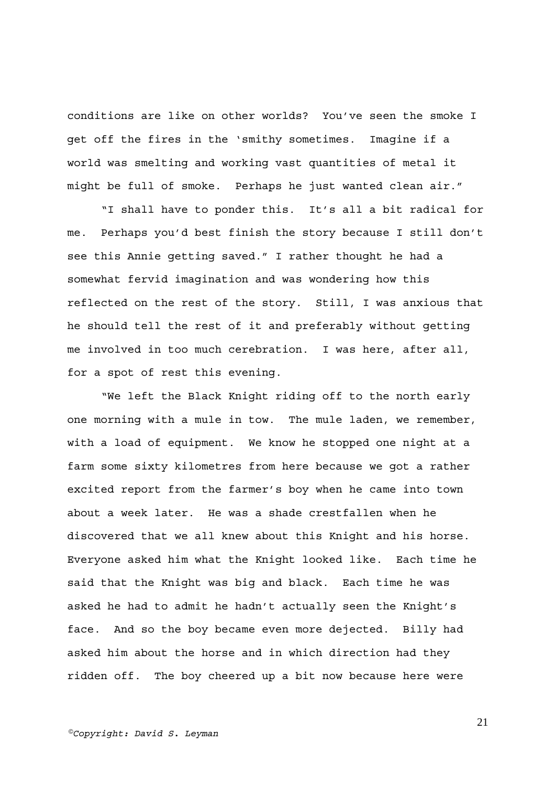conditions are like on other worlds? You've seen the smoke I get off the fires in the 'smithy sometimes. Imagine if a world was smelting and working vast quantities of metal it might be full of smoke. Perhaps he just wanted clean air."

"I shall have to ponder this. It's all a bit radical for me. Perhaps you'd best finish the story because I still don't see this Annie getting saved." I rather thought he had a somewhat fervid imagination and was wondering how this reflected on the rest of the story. Still, I was anxious that he should tell the rest of it and preferably without getting me involved in too much cerebration. I was here, after all, for a spot of rest this evening.

"We left the Black Knight riding off to the north early one morning with a mule in tow. The mule laden, we remember, with a load of equipment. We know he stopped one night at a farm some sixty kilometres from here because we got a rather excited report from the farmer's boy when he came into town about a week later. He was a shade crestfallen when he discovered that we all knew about this Knight and his horse. Everyone asked him what the Knight looked like. Each time he said that the Knight was big and black. Each time he was asked he had to admit he hadn't actually seen the Knight's face. And so the boy became even more dejected. Billy had asked him about the horse and in which direction had they ridden off. The boy cheered up a bit now because here were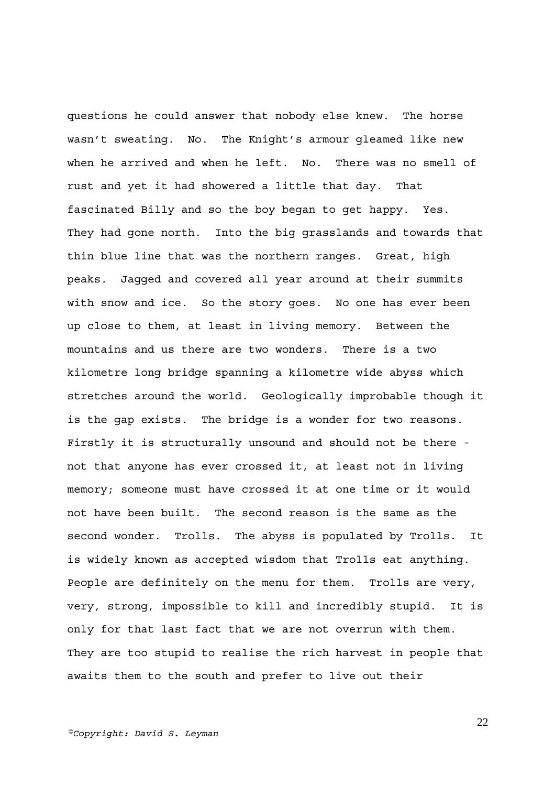questions he could answer that nobody else knew. The horse wasn't sweating. No. The Knight's armour gleamed like new when he arrived and when he left. No. There was no smell of rust and yet it had showered a little that day. That fascinated Billy and so the boy began to get happy. Yes. They had gone north. Into the big grasslands and towards that thin blue line that was the northern ranges. Great, high peaks. Jagged and covered all year around at their summits with snow and ice. So the story goes. No one has ever been up close to them, at least in living memory. Between the mountains and us there are two wonders. There is a two kilometre long bridge spanning a kilometre wide abyss which stretches around the world. Geologically improbable though it is the gap exists. The bridge is a wonder for two reasons. Firstly it is structurally unsound and should not be there not that anyone has ever crossed it, at least not in living memory; someone must have crossed it at one time or it would not have been built. The second reason is the same as the second wonder. Trolls. The abyss is populated by Trolls. It is widely known as accepted wisdom that Trolls eat anything. People are definitely on the menu for them. Trolls are very, very, strong, impossible to kill and incredibly stupid. It is only for that last fact that we are not overrun with them. They are too stupid to realise the rich harvest in people that awaits them to the south and prefer to live out their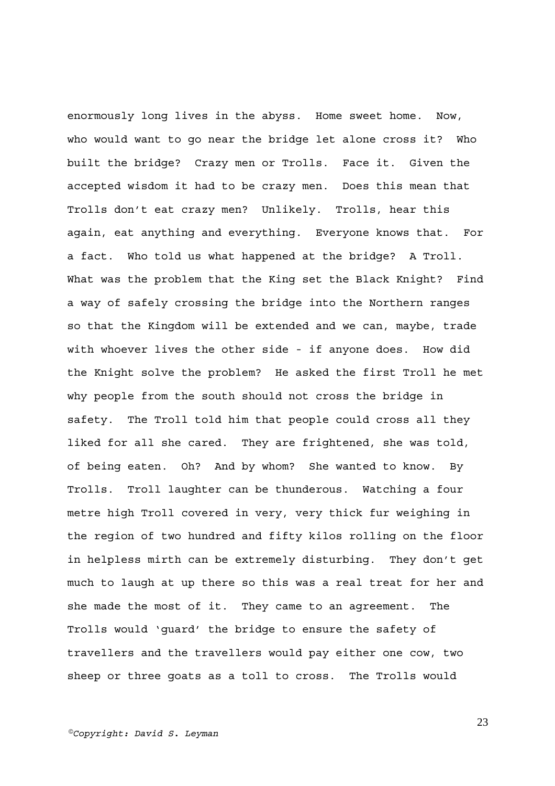enormously long lives in the abyss. Home sweet home. Now, who would want to go near the bridge let alone cross it? Who built the bridge? Crazy men or Trolls. Face it. Given the accepted wisdom it had to be crazy men. Does this mean that Trolls don't eat crazy men? Unlikely. Trolls, hear this again, eat anything and everything. Everyone knows that. For a fact. Who told us what happened at the bridge? A Troll. What was the problem that the King set the Black Knight? Find a way of safely crossing the bridge into the Northern ranges so that the Kingdom will be extended and we can, maybe, trade with whoever lives the other side - if anyone does. How did the Knight solve the problem? He asked the first Troll he met why people from the south should not cross the bridge in safety. The Troll told him that people could cross all they liked for all she cared. They are frightened, she was told, of being eaten. Oh? And by whom? She wanted to know. By Trolls. Troll laughter can be thunderous. Watching a four metre high Troll covered in very, very thick fur weighing in the region of two hundred and fifty kilos rolling on the floor in helpless mirth can be extremely disturbing. They don't get much to laugh at up there so this was a real treat for her and she made the most of it. They came to an agreement. The Trolls would 'guard' the bridge to ensure the safety of travellers and the travellers would pay either one cow, two sheep or three goats as a toll to cross. The Trolls would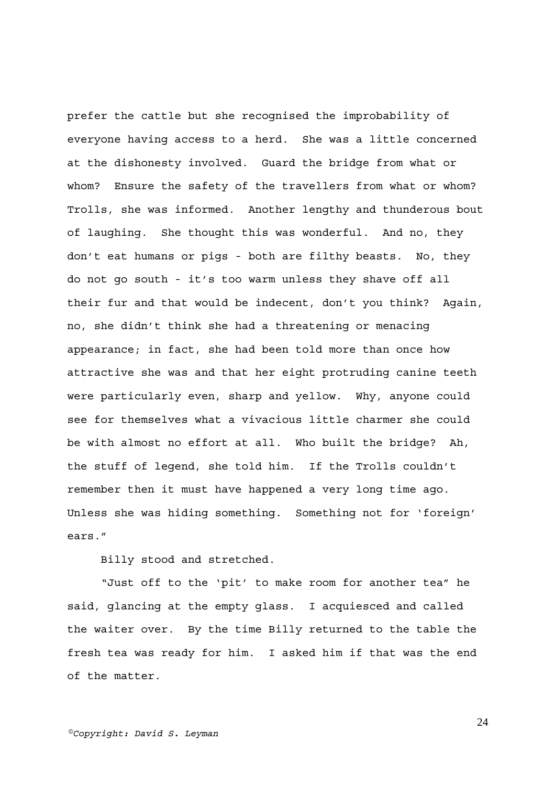prefer the cattle but she recognised the improbability of everyone having access to a herd. She was a little concerned at the dishonesty involved. Guard the bridge from what or whom? Ensure the safety of the travellers from what or whom? Trolls, she was informed. Another lengthy and thunderous bout of laughing. She thought this was wonderful. And no, they don't eat humans or pigs - both are filthy beasts. No, they do not go south - it's too warm unless they shave off all their fur and that would be indecent, don't you think? Again, no, she didn't think she had a threatening or menacing appearance; in fact, she had been told more than once how attractive she was and that her eight protruding canine teeth were particularly even, sharp and yellow. Why, anyone could see for themselves what a vivacious little charmer she could be with almost no effort at all. Who built the bridge? Ah, the stuff of legend, she told him. If the Trolls couldn't remember then it must have happened a very long time ago. Unless she was hiding something. Something not for 'foreign' ears."

Billy stood and stretched.

"Just off to the 'pit' to make room for another tea" he said, glancing at the empty glass. I acquiesced and called the waiter over. By the time Billy returned to the table the fresh tea was ready for him. I asked him if that was the end of the matter.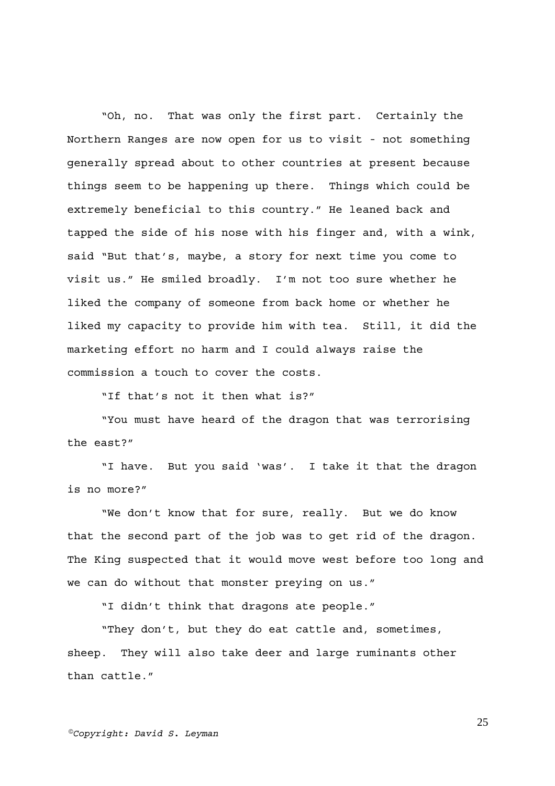"Oh, no. That was only the first part. Certainly the Northern Ranges are now open for us to visit - not something generally spread about to other countries at present because things seem to be happening up there. Things which could be extremely beneficial to this country." He leaned back and tapped the side of his nose with his finger and, with a wink, said "But that's, maybe, a story for next time you come to visit us." He smiled broadly. I'm not too sure whether he liked the company of someone from back home or whether he liked my capacity to provide him with tea. Still, it did the marketing effort no harm and I could always raise the commission a touch to cover the costs.

"If that's not it then what is?"

"You must have heard of the dragon that was terrorising the east?"

"I have. But you said 'was'. I take it that the dragon is no more?"

"We don't know that for sure, really. But we do know that the second part of the job was to get rid of the dragon. The King suspected that it would move west before too long and we can do without that monster preying on us."

"I didn't think that dragons ate people."

"They don't, but they do eat cattle and, sometimes, sheep. They will also take deer and large ruminants other than cattle."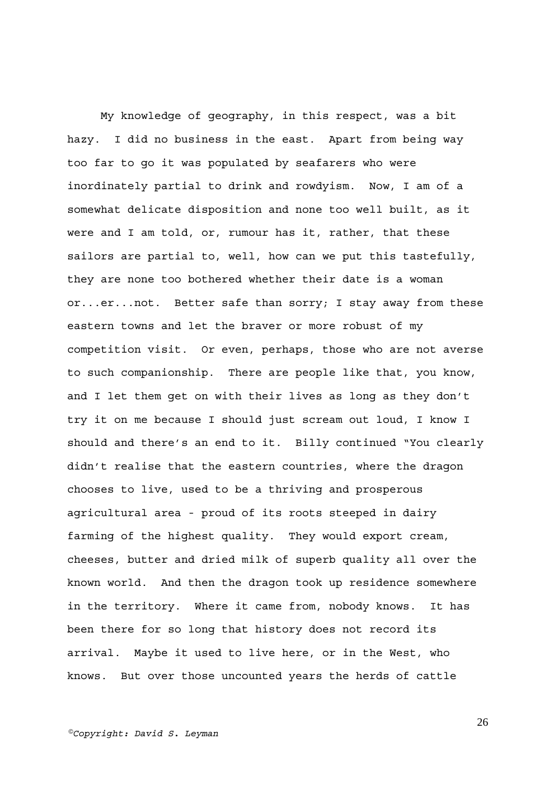My knowledge of geography, in this respect, was a bit hazy. I did no business in the east. Apart from being way too far to go it was populated by seafarers who were inordinately partial to drink and rowdyism. Now, I am of a somewhat delicate disposition and none too well built, as it were and I am told, or, rumour has it, rather, that these sailors are partial to, well, how can we put this tastefully, they are none too bothered whether their date is a woman or...er...not. Better safe than sorry; I stay away from these eastern towns and let the braver or more robust of my competition visit. Or even, perhaps, those who are not averse to such companionship. There are people like that, you know, and I let them get on with their lives as long as they don't try it on me because I should just scream out loud, I know I should and there's an end to it. Billy continued "You clearly didn't realise that the eastern countries, where the dragon chooses to live, used to be a thriving and prosperous agricultural area - proud of its roots steeped in dairy farming of the highest quality. They would export cream, cheeses, butter and dried milk of superb quality all over the known world. And then the dragon took up residence somewhere in the territory. Where it came from, nobody knows. It has been there for so long that history does not record its arrival. Maybe it used to live here, or in the West, who knows. But over those uncounted years the herds of cattle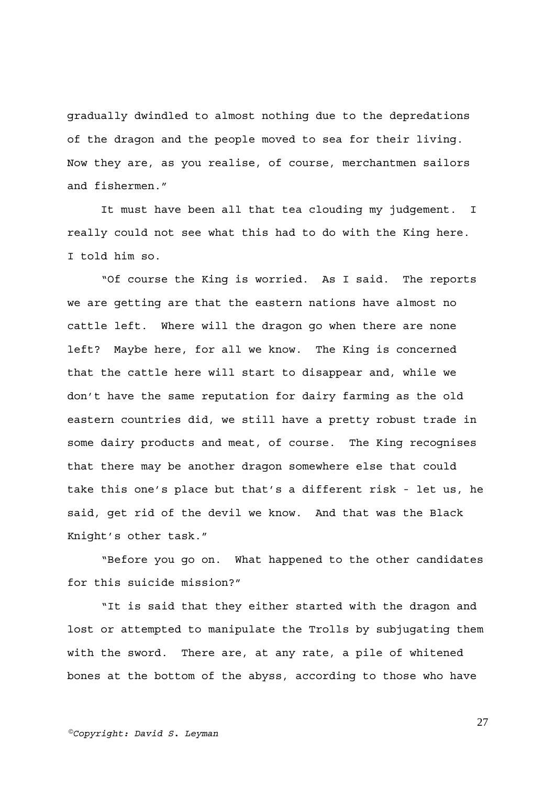gradually dwindled to almost nothing due to the depredations of the dragon and the people moved to sea for their living. Now they are, as you realise, of course, merchantmen sailors and fishermen."

It must have been all that tea clouding my judgement. I really could not see what this had to do with the King here. I told him so.

"Of course the King is worried. As I said. The reports we are getting are that the eastern nations have almost no cattle left. Where will the dragon go when there are none left? Maybe here, for all we know. The King is concerned that the cattle here will start to disappear and, while we don't have the same reputation for dairy farming as the old eastern countries did, we still have a pretty robust trade in some dairy products and meat, of course. The King recognises that there may be another dragon somewhere else that could take this one's place but that's a different risk - let us, he said, get rid of the devil we know. And that was the Black Knight's other task."

"Before you go on. What happened to the other candidates for this suicide mission?"

"It is said that they either started with the dragon and lost or attempted to manipulate the Trolls by subjugating them with the sword. There are, at any rate, a pile of whitened bones at the bottom of the abyss, according to those who have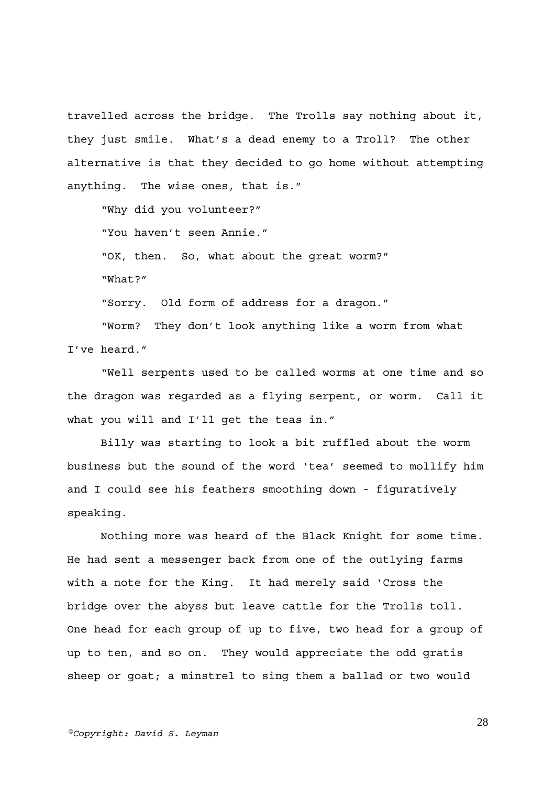travelled across the bridge. The Trolls say nothing about it, they just smile. What's a dead enemy to a Troll? The other alternative is that they decided to go home without attempting anything. The wise ones, that is."

"Why did you volunteer?"

"You haven't seen Annie."

"OK, then. So, what about the great worm?"

"What?"

"Sorry. Old form of address for a dragon."

"Worm? They don't look anything like a worm from what I've heard."

"Well serpents used to be called worms at one time and so the dragon was regarded as a flying serpent, or worm. Call it what you will and I'll get the teas in."

Billy was starting to look a bit ruffled about the worm business but the sound of the word 'tea' seemed to mollify him and I could see his feathers smoothing down - figuratively speaking.

Nothing more was heard of the Black Knight for some time. He had sent a messenger back from one of the outlying farms with a note for the King. It had merely said 'Cross the bridge over the abyss but leave cattle for the Trolls toll. One head for each group of up to five, two head for a group of up to ten, and so on. They would appreciate the odd gratis sheep or goat; a minstrel to sing them a ballad or two would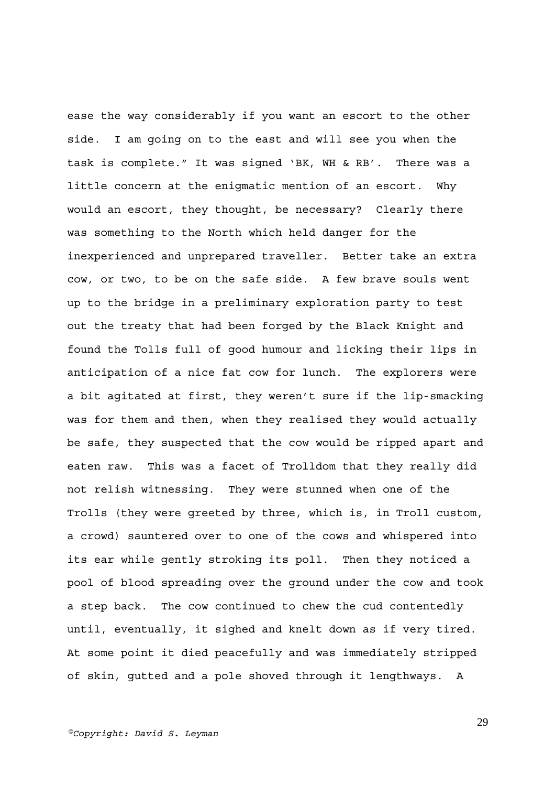ease the way considerably if you want an escort to the other side. I am going on to the east and will see you when the task is complete." It was signed 'BK, WH & RB'. There was a little concern at the enigmatic mention of an escort. Why would an escort, they thought, be necessary? Clearly there was something to the North which held danger for the inexperienced and unprepared traveller. Better take an extra cow, or two, to be on the safe side. A few brave souls went up to the bridge in a preliminary exploration party to test out the treaty that had been forged by the Black Knight and found the Tolls full of good humour and licking their lips in anticipation of a nice fat cow for lunch. The explorers were a bit agitated at first, they weren't sure if the lip-smacking was for them and then, when they realised they would actually be safe, they suspected that the cow would be ripped apart and eaten raw. This was a facet of Trolldom that they really did not relish witnessing. They were stunned when one of the Trolls (they were greeted by three, which is, in Troll custom, a crowd) sauntered over to one of the cows and whispered into its ear while gently stroking its poll. Then they noticed a pool of blood spreading over the ground under the cow and took a step back. The cow continued to chew the cud contentedly until, eventually, it sighed and knelt down as if very tired. At some point it died peacefully and was immediately stripped of skin, gutted and a pole shoved through it lengthways. A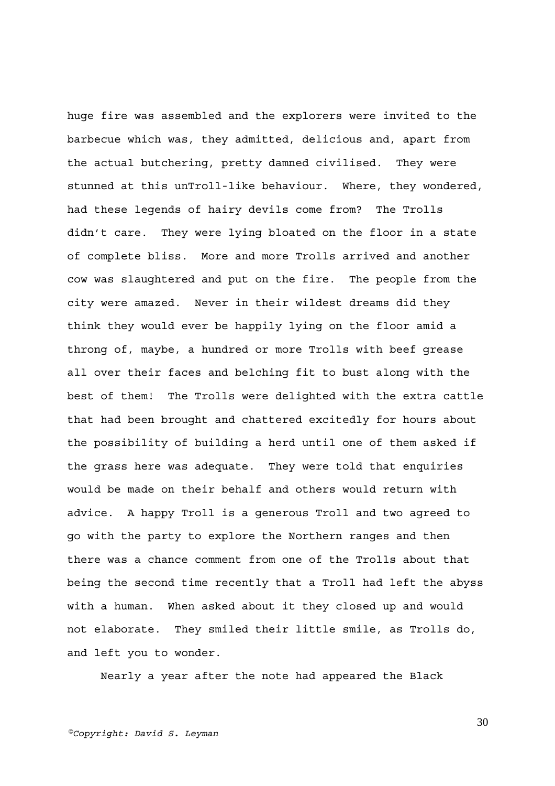huge fire was assembled and the explorers were invited to the barbecue which was, they admitted, delicious and, apart from the actual butchering, pretty damned civilised. They were stunned at this unTroll-like behaviour. Where, they wondered, had these legends of hairy devils come from? The Trolls didn't care. They were lying bloated on the floor in a state of complete bliss. More and more Trolls arrived and another cow was slaughtered and put on the fire. The people from the city were amazed. Never in their wildest dreams did they think they would ever be happily lying on the floor amid a throng of, maybe, a hundred or more Trolls with beef grease all over their faces and belching fit to bust along with the best of them! The Trolls were delighted with the extra cattle that had been brought and chattered excitedly for hours about the possibility of building a herd until one of them asked if the grass here was adequate. They were told that enquiries would be made on their behalf and others would return with advice. A happy Troll is a generous Troll and two agreed to go with the party to explore the Northern ranges and then there was a chance comment from one of the Trolls about that being the second time recently that a Troll had left the abyss with a human. When asked about it they closed up and would not elaborate. They smiled their little smile, as Trolls do, and left you to wonder.

Nearly a year after the note had appeared the Black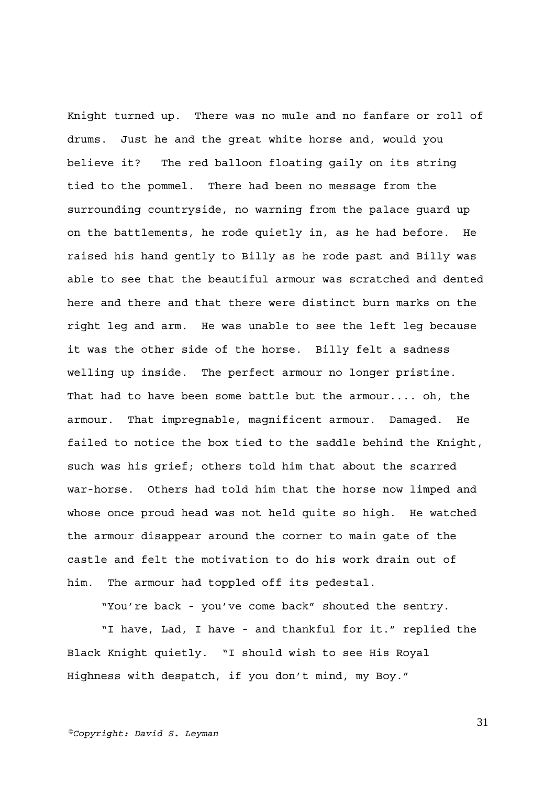Knight turned up. There was no mule and no fanfare or roll of drums. Just he and the great white horse and, would you believe it? The red balloon floating gaily on its string tied to the pommel. There had been no message from the surrounding countryside, no warning from the palace guard up on the battlements, he rode quietly in, as he had before. He raised his hand gently to Billy as he rode past and Billy was able to see that the beautiful armour was scratched and dented here and there and that there were distinct burn marks on the right leg and arm. He was unable to see the left leg because it was the other side of the horse. Billy felt a sadness welling up inside. The perfect armour no longer pristine. That had to have been some battle but the armour.... oh, the armour. That impregnable, magnificent armour. Damaged. He failed to notice the box tied to the saddle behind the Knight, such was his grief; others told him that about the scarred war-horse. Others had told him that the horse now limped and whose once proud head was not held quite so high. He watched the armour disappear around the corner to main gate of the castle and felt the motivation to do his work drain out of him. The armour had toppled off its pedestal.

"You're back - you've come back" shouted the sentry.

"I have, Lad, I have - and thankful for it." replied the Black Knight quietly. "I should wish to see His Royal Highness with despatch, if you don't mind, my Boy."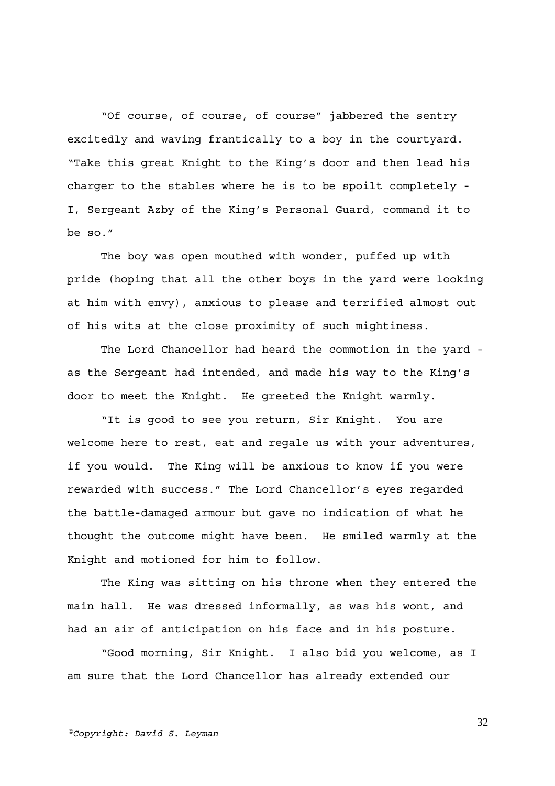"Of course, of course, of course" jabbered the sentry excitedly and waving frantically to a boy in the courtyard. "Take this great Knight to the King's door and then lead his charger to the stables where he is to be spoilt completely - I, Sergeant Azby of the King's Personal Guard, command it to be so."

The boy was open mouthed with wonder, puffed up with pride (hoping that all the other boys in the yard were looking at him with envy), anxious to please and terrified almost out of his wits at the close proximity of such mightiness.

The Lord Chancellor had heard the commotion in the yard as the Sergeant had intended, and made his way to the King's door to meet the Knight. He greeted the Knight warmly.

"It is good to see you return, Sir Knight. You are welcome here to rest, eat and regale us with your adventures, if you would. The King will be anxious to know if you were rewarded with success." The Lord Chancellor's eyes regarded the battle-damaged armour but gave no indication of what he thought the outcome might have been. He smiled warmly at the Knight and motioned for him to follow.

The King was sitting on his throne when they entered the main hall. He was dressed informally, as was his wont, and had an air of anticipation on his face and in his posture.

"Good morning, Sir Knight. I also bid you welcome, as I am sure that the Lord Chancellor has already extended our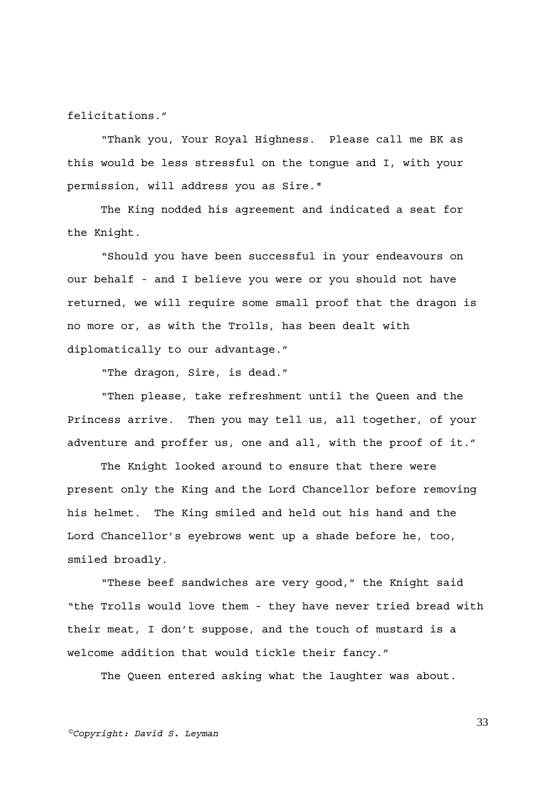felicitations."

"Thank you, Your Royal Highness. Please call me BK as this would be less stressful on the tongue and I, with your permission, will address you as Sire."

The King nodded his agreement and indicated a seat for the Knight.

"Should you have been successful in your endeavours on our behalf - and I believe you were or you should not have returned, we will require some small proof that the dragon is no more or, as with the Trolls, has been dealt with diplomatically to our advantage."

"The dragon, Sire, is dead."

"Then please, take refreshment until the Queen and the Princess arrive. Then you may tell us, all together, of your adventure and proffer us, one and all, with the proof of it."

The Knight looked around to ensure that there were present only the King and the Lord Chancellor before removing his helmet. The King smiled and held out his hand and the Lord Chancellor's eyebrows went up a shade before he, too, smiled broadly.

"These beef sandwiches are very good," the Knight said "the Trolls would love them - they have never tried bread with their meat, I don't suppose, and the touch of mustard is a welcome addition that would tickle their fancy."

The Queen entered asking what the laughter was about.